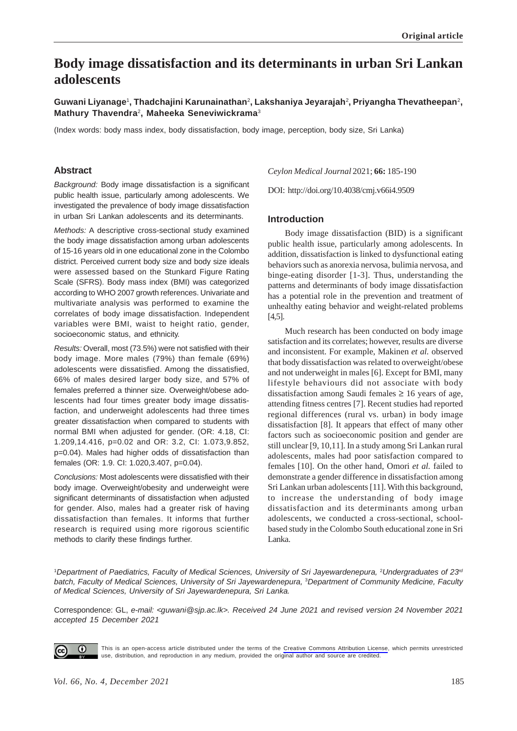# **Body image dissatisfaction and its determinants in urban Sri Lankan adolescents**

**Guwani Liyanage**<sup>1</sup> **, Thadchajini Karunainathan**<sup>2</sup> **, Lakshaniya Jeyarajah**<sup>2</sup> **, Priyangha Thevatheepan**<sup>2</sup> **, Mathury Thavendra**2**, Maheeka Seneviwickrama**<sup>3</sup>

(Index words: body mass index, body dissatisfaction, body image, perception, body size, Sri Lanka)

## **Abstract**

*Background:* Body image dissatisfaction is a significant public health issue, particularly among adolescents. We investigated the prevalence of body image dissatisfaction in urban Sri Lankan adolescents and its determinants.

*Methods:* A descriptive cross-sectional study examined the body image dissatisfaction among urban adolescents of 15-16 years old in one educational zone in the Colombo district. Perceived current body size and body size ideals were assessed based on the Stunkard Figure Rating Scale (SFRS). Body mass index (BMI) was categorized according to WHO 2007 growth references. Univariate and multivariate analysis was performed to examine the correlates of body image dissatisfaction. Independent variables were BMI, waist to height ratio, gender, socioeconomic status, and ethnicity.

*Results:* Overall, most (73.5%) were not satisfied with their body image. More males (79%) than female (69%) adolescents were dissatisfied. Among the dissatisfied, 66% of males desired larger body size, and 57% of females preferred a thinner size. Overweight/obese adolescents had four times greater body image dissatisfaction, and underweight adolescents had three times greater dissatisfaction when compared to students with normal BMI when adjusted for gender. (OR: 4.18, CI: 1.209,14.416, p=0.02 and OR: 3.2, CI: 1.073,9.852, p=0.04). Males had higher odds of dissatisfaction than females (OR: 1.9. CI: 1.020,3.407, p=0.04).

*Conclusions:* Most adolescents were dissatisfied with their body image. Overweight/obesity and underweight were significant determinants of dissatisfaction when adjusted for gender. Also, males had a greater risk of having dissatisfaction than females. It informs that further research is required using more rigorous scientific methods to clarify these findings further.

*Ceylon Medical Journal* 2021; **66:** 185-190

DOI: http://doi.org/10.4038/cmj.v66i4.9509

#### **Introduction**

Body image dissatisfaction (BID) is a significant public health issue, particularly among adolescents. In addition, dissatisfaction is linked to dysfunctional eating behaviors such as anorexia nervosa, bulimia nervosa, and binge-eating disorder [1-3]. Thus, understanding the patterns and determinants of body image dissatisfaction has a potential role in the prevention and treatment of unhealthy eating behavior and weight-related problems [4,5].

Much research has been conducted on body image satisfaction and its correlates; however, results are diverse and inconsistent. For example, Makinen *et al.* observed that body dissatisfaction was related to overweight/obese and not underweight in males [6]. Except for BMI, many lifestyle behaviours did not associate with body dissatisfaction among Saudi females  $\geq 16$  years of age, attending fitness centres [7]. Recent studies had reported regional differences (rural vs. urban) in body image dissatisfaction [8]. It appears that effect of many other factors such as socioeconomic position and gender are still unclear [9, 10,11]. In a study among Sri Lankan rural adolescents, males had poor satisfaction compared to females [10]. On the other hand, Omori *et al.* failed to demonstrate a gender difference in dissatisfaction among Sri Lankan urban adolescents [11]. With this background, to increase the understanding of body image dissatisfaction and its determinants among urban adolescents, we conducted a cross-sectional, schoolbased study in the Colombo South educational zone in Sri Lanka.

<sup>1</sup>Department of Paediatrics, Faculty of Medical Sciences, University of Sri Jayewardenepura, <sup>2</sup>Undergraduates of 23<sup>rd</sup> *batch, Faculty of Medical Sciences, University of Sri Jayewardenepura,* <sup>3</sup> *Department of Community Medicine, Faculty of Medical Sciences, University of Sri Jayewardenepura, Sri Lanka.*

Correspondence: GL, *e-mail: <guwani@sjp.ac.lk>. Received 24 June 2021 and revised version 24 November 2021 accepted 15 December 2021*



This is an open-access article distributed under the terms of the [Creative Commons Attribution License](https://creativecommons.org/licenses/by/4.0/legalcode), which permits unrestricted use, distribution, and reproduction in any medium, provided the original author and source are credited.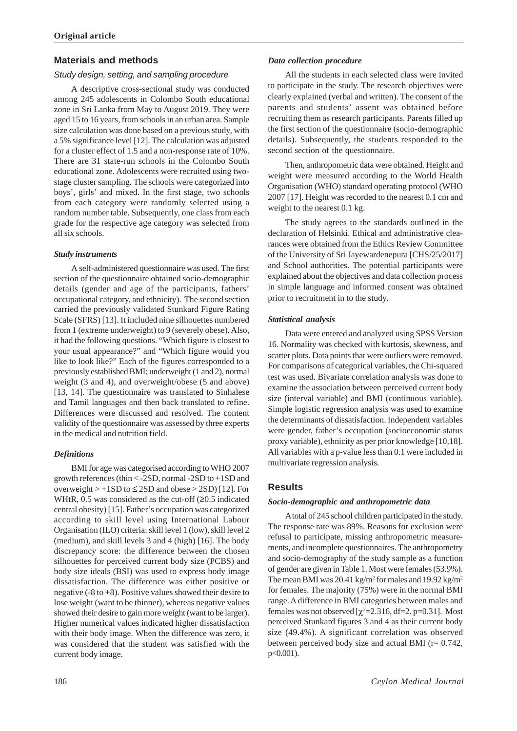## **Materials and methods**

#### *Study design, setting, and sampling procedure*

A descriptive cross-sectional study was conducted among 245 adolescents in Colombo South educational zone in Sri Lanka from May to August 2019. They were aged 15 to 16 years, from schools in an urban area. Sample size calculation was done based on a previous study, with a 5% significance level [12]. The calculation was adjusted for a cluster effect of 1.5 and a non-response rate of 10%. There are 31 state-run schools in the Colombo South educational zone. Adolescents were recruited using twostage cluster sampling. The schools were categorized into boys', girls' and mixed. In the first stage, two schools from each category were randomly selected using a random number table. Subsequently, one class from each grade for the respective age category was selected from all six schools.

#### *Study instruments*

A self-administered questionnaire was used. The first section of the questionnaire obtained socio-demographic details (gender and age of the participants, fathers' occupational category, and ethnicity). The second section carried the previously validated Stunkard Figure Rating Scale (SFRS) [13]. It included nine silhouettes numbered from 1 (extreme underweight) to 9 (severely obese). Also, it had the following questions. "Which figure is closest to your usual appearance?" and "Which figure would you like to look like?" Each of the figures corresponded to a previously established BMI; underweight (1 and 2), normal weight (3 and 4), and overweight/obese (5 and above) [13, 14]. The questionnaire was translated to Sinhalese and Tamil languages and then back translated to refine. Differences were discussed and resolved. The content validity of the questionnaire was assessed by three experts in the medical and nutrition field.

## *Definitions*

BMI for age was categorised according to WHO 2007 growth references (thin < -2SD, normal -2SD to +1SD and overweight  $> +1SD$  to  $\leq$  2SD and obese  $>$  2SD) [12]. For WHtR, 0.5 was considered as the cut-off  $(≥0.5$  indicated central obesity) [15]. Father's occupation was categorized according to skill level using International Labour Organisation (ILO) criteria: skill level 1 (low), skill level 2 (medium), and skill levels 3 and 4 (high) [16]. The body discrepancy score: the difference between the chosen silhouettes for perceived current body size (PCBS) and body size ideals (BSI) was used to express body image dissatisfaction. The difference was either positive or negative ( $-8$  to  $+8$ ). Positive values showed their desire to lose weight (want to be thinner), whereas negative values showed their desire to gain more weight (want to be larger). Higher numerical values indicated higher dissatisfaction with their body image. When the difference was zero, it was considered that the student was satisfied with the current body image.

### *Data collection procedure*

All the students in each selected class were invited to participate in the study. The research objectives were clearly explained (verbal and written). The consent of the parents and students' assent was obtained before recruiting them as research participants. Parents filled up the first section of the questionnaire (socio-demographic details). Subsequently, the students responded to the second section of the questionnaire.

Then, anthropometric data were obtained. Height and weight were measured according to the World Health Organisation (WHO) standard operating protocol (WHO 2007 [17]. Height was recorded to the nearest 0.1 cm and weight to the nearest 0.1 kg.

The study agrees to the standards outlined in the declaration of Helsinki. Ethical and administrative clearances were obtained from the Ethics Review Committee of the University of Sri Jayewardenepura [CHS/25/2017] and School authorities. The potential participants were explained about the objectives and data collection process in simple language and informed consent was obtained prior to recruitment in to the study.

#### *Statistical analysis*

Data were entered and analyzed using SPSS Version 16. Normality was checked with kurtosis, skewness, and scatter plots. Data points that were outliers were removed. For comparisons of categorical variables, the Chi-squared test was used. Bivariate correlation analysis was done to examine the association between perceived current body size (interval variable) and BMI (continuous variable). Simple logistic regression analysis was used to examine the determinants of dissatisfaction. Independent variables were gender, father's occupation (socioeconomic status proxy variable), ethnicity as per prior knowledge [10,18]. All variables with a p-value less than 0.1 were included in multivariate regression analysis.

## **Results**

#### *Socio-demographic and anthropometric data*

A total of 245 school children participated in the study. The response rate was 89%. Reasons for exclusion were refusal to participate, missing anthropometric measurements, and incomplete questionnaires. The anthropometry and socio-demography of the study sample as a function of gender are given in Table 1. Most were females (53.9%). The mean BMI was  $20.41 \text{ kg/m}^2$  for males and  $19.92 \text{ kg/m}^2$ for females. The majority (75%) were in the normal BMI range. A difference in BMI categories between males and females was not observed  $[\chi^2 = 2.316, df = 2.$  p=0.31]. Most perceived Stunkard figures 3 and 4 as their current body size (49.4%). A significant correlation was observed between perceived body size and actual BMI ( $r = 0.742$ , p<0.001).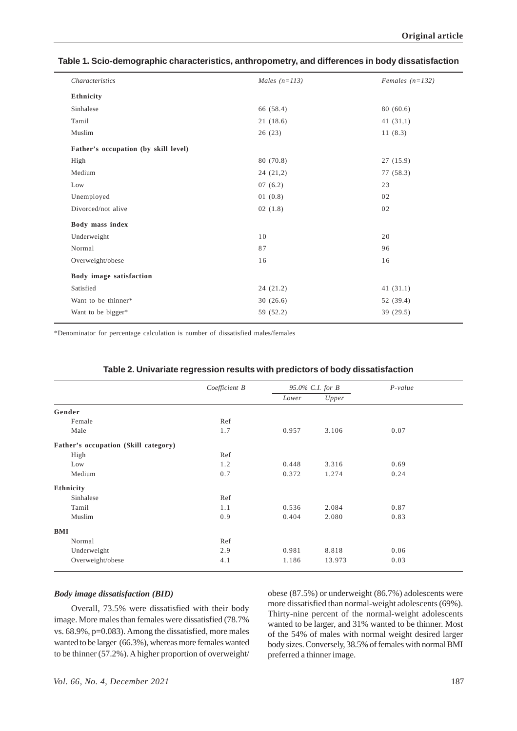| Table 1. Scio-demographic characteristics, anthropometry, and differences in body dissatisfaction |
|---------------------------------------------------------------------------------------------------|
|---------------------------------------------------------------------------------------------------|

| Characteristics                      | Males $(n=113)$ | Females $(n=132)$ |  |
|--------------------------------------|-----------------|-------------------|--|
| Ethnicity                            |                 |                   |  |
| Sinhalese                            | 66 (58.4)       | 80(60.6)          |  |
| Tamil                                | 21(18.6)        | 41(31,1)          |  |
| Muslim                               | 26(23)          | 11(8.3)           |  |
| Father's occupation (by skill level) |                 |                   |  |
| High                                 | 80 (70.8)       | 27(15.9)          |  |
| Medium                               | 24(21,2)        | 77 (58.3)         |  |
| Low                                  | 07(6.2)         | 23                |  |
| Unemployed                           | 01(0.8)         | 02                |  |
| Divorced/not alive                   | 02(1.8)         | 02                |  |
| Body mass index                      |                 |                   |  |
| Underweight                          | 10              | 20                |  |
| Normal                               | 87              | 96                |  |
| Overweight/obese                     | 16              | 16                |  |
| Body image satisfaction              |                 |                   |  |
| Satisfied                            | 24(21.2)        | 41(31.1)          |  |
| Want to be thinner*                  | 30(26.6)        | 52 (39.4)         |  |
| Want to be bigger*                   | 59 (52.2)       | 39 (29.5)         |  |
|                                      |                 |                   |  |

\*Denominator for percentage calculation is number of dissatisfied males/females

|                                      | Coefficient B | 95.0% C.I. for B |        | $P-value$ |
|--------------------------------------|---------------|------------------|--------|-----------|
|                                      |               | Lower            | Upper  |           |
| Gender                               |               |                  |        |           |
| Female                               | Ref           |                  |        |           |
| Male                                 | 1.7           | 0.957            | 3.106  | 0.07      |
| Father's occupation (Skill category) |               |                  |        |           |
| High                                 | Ref           |                  |        |           |
| Low                                  | 1.2           | 0.448            | 3.316  | 0.69      |
| Medium                               | 0.7           | 0.372            | 1.274  | 0.24      |
| Ethnicity                            |               |                  |        |           |
| Sinhalese                            | Ref           |                  |        |           |
| Tamil                                | 1.1           | 0.536            | 2.084  | 0.87      |
| Muslim                               | 0.9           | 0.404            | 2.080  | 0.83      |
| <b>BMI</b>                           |               |                  |        |           |
| Normal                               | Ref           |                  |        |           |
| Underweight                          | 2.9           | 0.981            | 8.818  | 0.06      |
| Overweight/obese                     | 4.1           | 1.186            | 13.973 | 0.03      |

#### **Table 2. Univariate regression results with predictors of body dissatisfaction**

## *Body image dissatisfaction (BID)*

Overall, 73.5% were dissatisfied with their body image. More males than females were dissatisfied (78.7% vs. 68.9%, p=0.083). Among the dissatisfied, more males wanted to be larger (66.3%), whereas more females wanted to be thinner (57.2%). A higher proportion of overweight/ obese (87.5%) or underweight (86.7%) adolescents were more dissatisfied than normal-weight adolescents (69%). Thirty-nine percent of the normal-weight adolescents wanted to be larger, and 31% wanted to be thinner. Most of the 54% of males with normal weight desired larger body sizes. Conversely, 38.5% of females with normal BMI preferred a thinner image.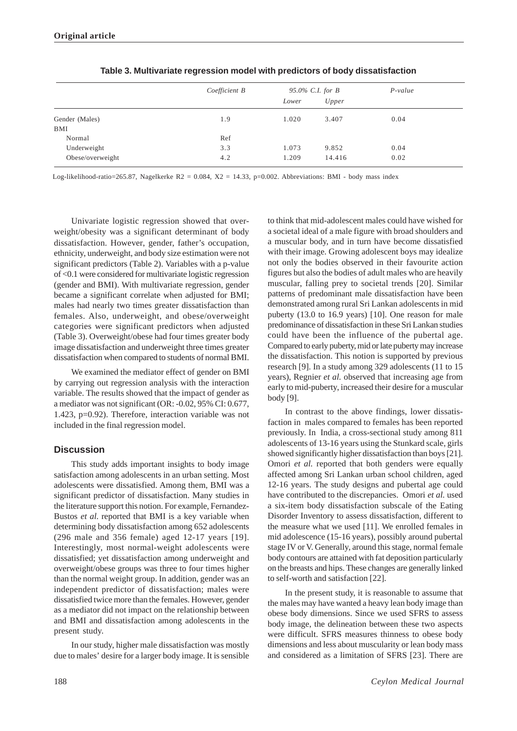|                  | Coefficient B | 95.0% C.I. for B |        | $P-value$ |
|------------------|---------------|------------------|--------|-----------|
|                  |               | Lower            | Upper  |           |
| Gender (Males)   | 1.9           | 1.020            | 3.407  | 0.04      |
| BMI              |               |                  |        |           |
| Normal           | Ref           |                  |        |           |
| Underweight      | 3.3           | 1.073            | 9.852  | 0.04      |
| Obese/overweight | 4.2           | 1.209            | 14.416 | 0.02      |

**Table 3. Multivariate regression model with predictors of body dissatisfaction**

Log-likelihood-ratio=265.87, Nagelkerke R2 = 0.084,  $X2 = 14.33$ , p=0.002. Abbreviations: BMI - body mass index

Univariate logistic regression showed that overweight/obesity was a significant determinant of body dissatisfaction. However, gender, father's occupation, ethnicity, underweight, and body size estimation were not significant predictors (Table 2). Variables with a p-value of <0.1 were considered for multivariate logistic regression (gender and BMI). With multivariate regression, gender became a significant correlate when adjusted for BMI; males had nearly two times greater dissatisfaction than females. Also, underweight, and obese/overweight categories were significant predictors when adjusted (Table 3). Overweight/obese had four times greater body image dissatisfaction and underweight three times greater dissatisfaction when compared to students of normal BMI.

We examined the mediator effect of gender on BMI by carrying out regression analysis with the interaction variable. The results showed that the impact of gender as a mediator was not significant (OR: -0.02, 95% CI: 0.677, 1.423, p=0.92). Therefore, interaction variable was not included in the final regression model.

## **Discussion**

This study adds important insights to body image satisfaction among adolescents in an urban setting. Most adolescents were dissatisfied. Among them, BMI was a significant predictor of dissatisfaction. Many studies in the literature support this notion. For example, Fernandez-Bustos *et al.* reported that BMI is a key variable when determining body dissatisfaction among 652 adolescents (296 male and 356 female) aged 12-17 years [19]. Interestingly, most normal-weight adolescents were dissatisfied; yet dissatisfaction among underweight and overweight/obese groups was three to four times higher than the normal weight group. In addition, gender was an independent predictor of dissatisfaction; males were dissatisfied twice more than the females. However, gender as a mediator did not impact on the relationship between and BMI and dissatisfaction among adolescents in the present study.

In our study, higher male dissatisfaction was mostly due to males' desire for a larger body image. It is sensible

to think that mid-adolescent males could have wished for a societal ideal of a male figure with broad shoulders and a muscular body, and in turn have become dissatisfied with their image. Growing adolescent boys may idealize not only the bodies observed in their favourite action figures but also the bodies of adult males who are heavily muscular, falling prey to societal trends [20]. Similar patterns of predominant male dissatisfaction have been demonstrated among rural Sri Lankan adolescents in mid puberty (13.0 to 16.9 years) [10]. One reason for male predominance of dissatisfaction in these Sri Lankan studies could have been the influence of the pubertal age. Compared to early puberty, mid or late puberty may increase the dissatisfaction. This notion is supported by previous research [9]. In a study among 329 adolescents (11 to 15 years), Regnier *et al.* observed that increasing age from early to mid-puberty, increased their desire for a muscular body [9].

In contrast to the above findings, lower dissatisfaction in males compared to females has been reported previously. In India, a cross-sectional study among 811 adolescents of 13-16 years using the Stunkard scale, girls showed significantly higher dissatisfaction than boys [21]. Omori *et al.* reported that both genders were equally affected among Sri Lankan urban school children, aged 12-16 years. The study designs and pubertal age could have contributed to the discrepancies. Omori *et al.* used a six-item body dissatisfaction subscale of the Eating Disorder Inventory to assess dissatisfaction, different to the measure what we used [11]. We enrolled females in mid adolescence (15-16 years), possibly around pubertal stage IV or V. Generally, around this stage, normal female body contours are attained with fat deposition particularly on the breasts and hips. These changes are generally linked to self-worth and satisfaction [22].

In the present study, it is reasonable to assume that the males may have wanted a heavy lean body image than obese body dimensions. Since we used SFRS to assess body image, the delineation between these two aspects were difficult. SFRS measures thinness to obese body dimensions and less about muscularity or lean body mass and considered as a limitation of SFRS [23]. There are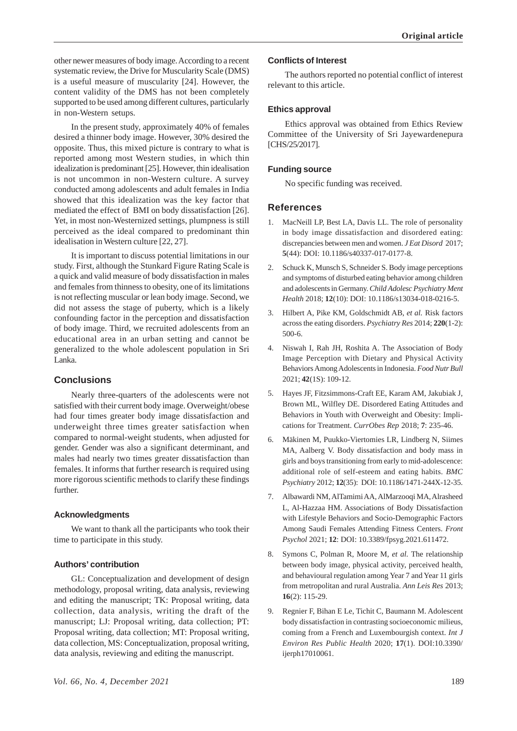other newer measures of body image. According to a recent systematic review, the Drive for Muscularity Scale (DMS) is a useful measure of muscularity [24]. However, the content validity of the DMS has not been completely supported to be used among different cultures, particularly in non-Western setups.

In the present study, approximately 40% of females desired a thinner body image. However, 30% desired the opposite. Thus, this mixed picture is contrary to what is reported among most Western studies, in which thin idealization is predominant [25]. However, thin idealisation is not uncommon in non-Western culture. A survey conducted among adolescents and adult females in India showed that this idealization was the key factor that mediated the effect of BMI on body dissatisfaction [26]. Yet, in most non-Westernized settings, plumpness is still perceived as the ideal compared to predominant thin idealisation in Western culture [22, 27].

It is important to discuss potential limitations in our study. First, although the Stunkard Figure Rating Scale is a quick and valid measure of body dissatisfaction in males and females from thinness to obesity, one of its limitations is not reflecting muscular or lean body image. Second, we did not assess the stage of puberty, which is a likely confounding factor in the perception and dissatisfaction of body image. Third, we recruited adolescents from an educational area in an urban setting and cannot be generalized to the whole adolescent population in Sri Lanka.

## **Conclusions**

Nearly three-quarters of the adolescents were not satisfied with their current body image. Overweight/obese had four times greater body image dissatisfaction and underweight three times greater satisfaction when compared to normal-weight students, when adjusted for gender. Gender was also a significant determinant, and males had nearly two times greater dissatisfaction than females. It informs that further research is required using more rigorous scientific methods to clarify these findings further.

## **Acknowledgments**

We want to thank all the participants who took their time to participate in this study.

## **Authors' contribution**

GL: Conceptualization and development of design methodology, proposal writing, data analysis, reviewing and editing the manuscript; TK: Proposal writing, data collection, data analysis, writing the draft of the manuscript; LJ: Proposal writing, data collection; PT: Proposal writing, data collection; MT: Proposal writing, data collection, MS: Conceptualization, proposal writing, data analysis, reviewing and editing the manuscript.

#### **Conflicts of Interest**

The authors reported no potential conflict of interest relevant to this article.

### **Ethics approval**

Ethics approval was obtained from Ethics Review Committee of the University of Sri Jayewardenepura [CHS/25/2017].

#### **Funding source**

No specific funding was received.

## **References**

- 1. MacNeill LP, Best LA, Davis LL. The role of personality in body image dissatisfaction and disordered eating: discrepancies between men and women. *J Eat Disord* 2017; **5**(44): DOI: 10.1186/s40337-017-0177-8.
- 2. Schuck K, Munsch S, Schneider S. Body image perceptions and symptoms of disturbed eating behavior among children and adolescents in Germany. *Child Adolesc Psychiatry Ment Health* 2018; **12**(10): DOI: 10.1186/s13034-018-0216-5.
- 3. Hilbert A, Pike KM, Goldschmidt AB, *et al.* Risk factors across the eating disorders. *Psychiatry Res* 2014; **220**(1-2): 500-6.
- 4. Niswah I, Rah JH, Roshita A. The Association of Body Image Perception with Dietary and Physical Activity Behaviors Among Adolescents in Indonesia. *Food Nutr Bull* 2021; **42**(1S): 109-12.
- 5. Hayes JF, Fitzsimmons-Craft EE, Karam AM, Jakubiak J, Brown ML, Wilfley DE. Disordered Eating Attitudes and Behaviors in Youth with Overweight and Obesity: Implications for Treatment. *CurrObes Rep* 2018; **7**: 235-46.
- 6. Mäkinen M, Puukko-Viertomies LR, Lindberg N, Siimes MA, Aalberg V. Body dissatisfaction and body mass in girls and boys transitioning from early to mid-adolescence: additional role of self-esteem and eating habits. *BMC Psychiatry* 2012; **12**(35): DOI: 10.1186/1471-244X-12-35.
- 7. Albawardi NM, AlTamimi AA, AlMarzooqi MA, Alrasheed L, Al-Hazzaa HM. Associations of Body Dissatisfaction with Lifestyle Behaviors and Socio-Demographic Factors Among Saudi Females Attending Fitness Centers. *Front Psychol* 2021; **12**: DOI: 10.3389/fpsyg.2021.611472.
- 8. Symons C, Polman R, Moore M, *et al.* The relationship between body image, physical activity, perceived health, and behavioural regulation among Year 7 and Year 11 girls from metropolitan and rural Australia. *Ann Leis Res* 2013; **16**(2): 115-29.
- 9. Regnier F, Bihan E Le, Tichit C, Baumann M. Adolescent body dissatisfaction in contrasting socioeconomic milieus, coming from a French and Luxembourgish context. *Int J Environ Res Public Health* 2020; **17**(1). DOI:10.3390/ ijerph17010061.